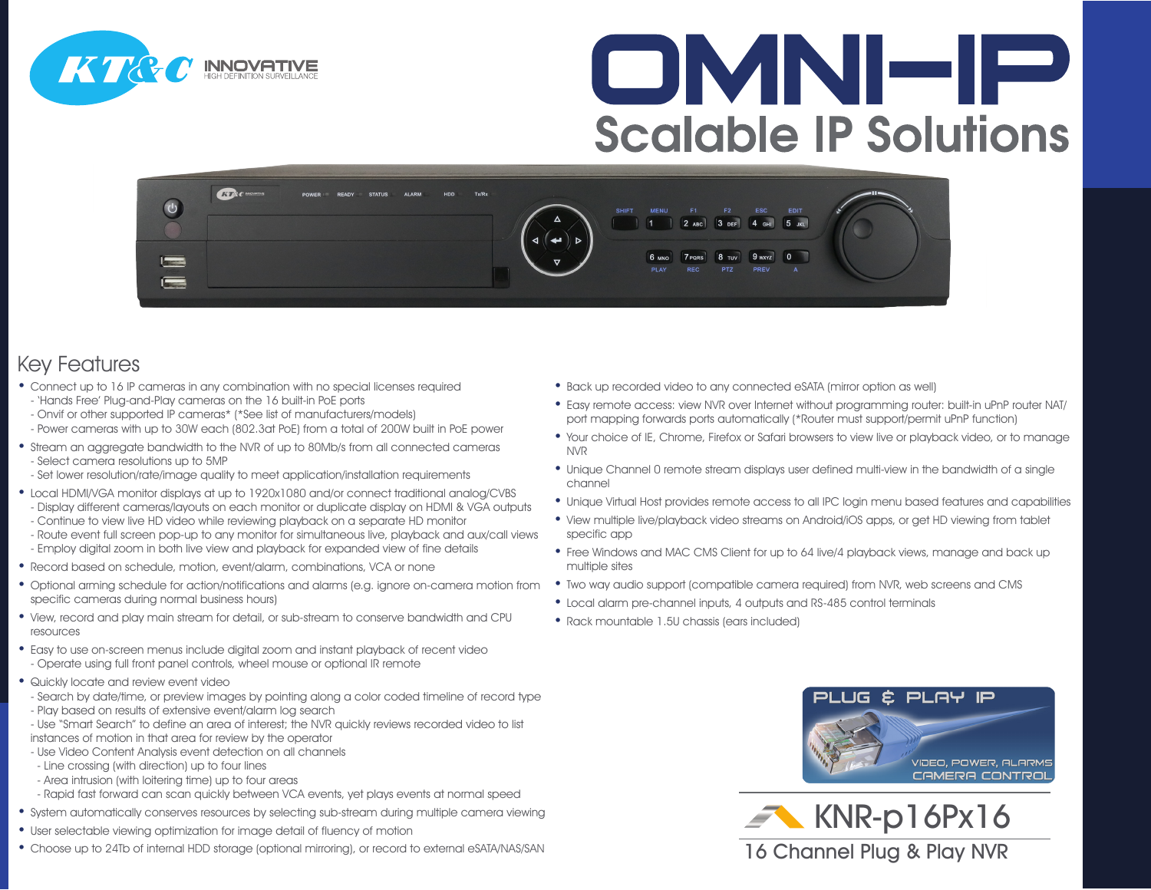

# OMNHP **Scalable IP Solutions**



#### Key Features

- Connect up to 16 IP cameras in any combination with no special licenses required - 'Hands Free' Plug-and-Play cameras on the 16 built-in PoE ports
- Onvif or other supported IP cameras\* (\*See list of manufacturers/models)
- Power cameras with up to 30W each (802.3at PoE) from a total of 200W built in PoE power
- Stream an aggregate bandwidth to the NVR of up to 80Mb/s from all connected cameras - Select camera resolutions up to 5MP
- Set lower resolution/rate/image quality to meet application/installation requirements
- Local HDMI/VGA monitor displays at up to 1920x1080 and/or connect traditional analog/CVBS
- Display different cameras/layouts on each monitor or duplicate display on HDMI & VGA outputs
- Continue to view live HD video while reviewing playback on a separate HD monitor
- Route event full screen pop-up to any monitor for simultaneous live, playback and aux/call views - Employ digital zoom in both live view and playback for expanded view of fine details
- Record based on schedule, motion, event/alarm, combinations, VCA or none
- Optional arming schedule for action/notifications and alarms (e.g. ignore on-camera motion from specific cameras during normal business hours)
- View, record and play main stream for detail, or sub-stream to conserve bandwidth and CPU resources
- Easy to use on-screen menus include digital zoom and instant playback of recent video - Operate using full front panel controls, wheel mouse or optional IR remote
- Quickly locate and review event video
- Search by date/time, or preview images by pointing along a color coded timeline of record type
- Play based on results of extensive event/alarm log search
- Use "Smart Search" to define an area of interest; the NVR quickly reviews recorded video to list instances of motion in that area for review by the operator
- Use Video Content Analysis event detection on all channels
- Line crossing (with direction) up to four lines
- Area intrusion (with loitering time) up to four areas
- Rapid fast forward can scan quickly between VCA events, yet plays events at normal speed
- System automatically conserves resources by selecting sub-stream during multiple camera viewing
- User selectable viewing optimization for image detail of fluency of motion
- Choose up to 24Tb of internal HDD storage (optional mirroring), or record to external eSATA/NAS/SAN
- Back up recorded video to any connected eSATA (mirror option as well)
- Easy remote access: view NVR over Internet without programming router: built-in uPnP router NAT/ port mapping forwards ports automatically (\*Router must support/permit uPnP function)
- Your choice of IE, Chrome, Firefox or Safari browsers to view live or playback video, or to manage NVR
- Unique Channel 0 remote stream displays user defined multi-view in the bandwidth of a single channel
- Unique Virtual Host provides remote access to all IPC login menu based features and capabilities
- View multiple live/playback video streams on Android/iOS apps, or get HD viewing from tablet specific app
- Free Windows and MAC CMS Client for up to 64 live/4 playback views, manage and back up multiple sites
- Two way audio support (compatible camera required) from NVR, web screens and CMS
- Local alarm pre-channel inputs, 4 outputs and RS-485 control terminals
- Rack mountable 1.5U chassis (ears included)